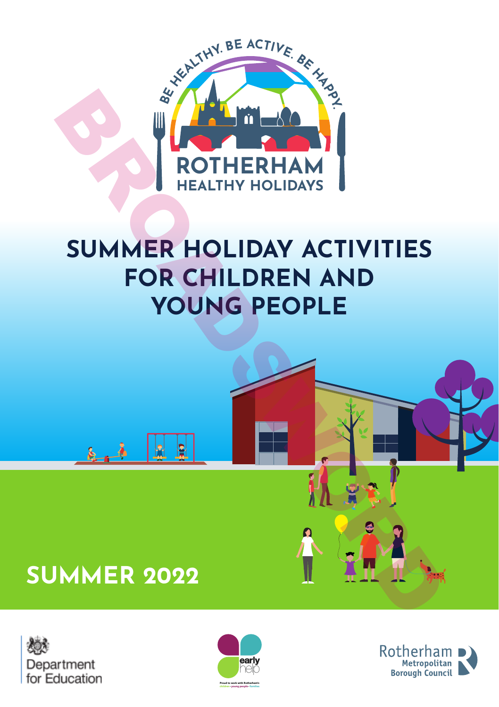

# **SUMMER HOLIDAY ACTIVITIES FOR CHILDREN AND YOUNG PEOPLE**







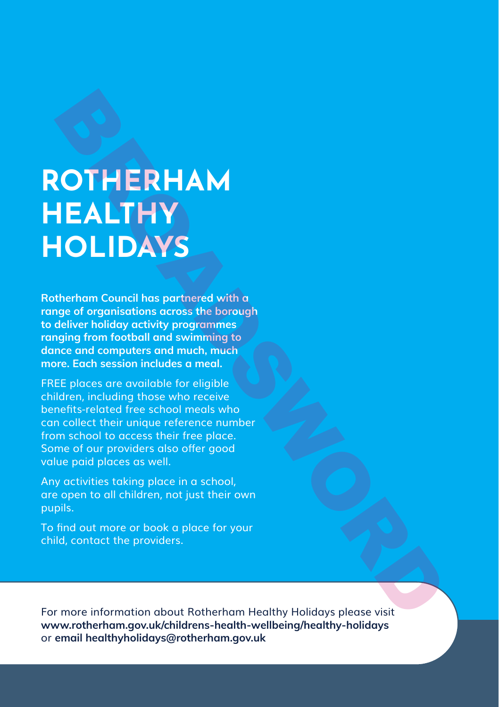# **ROTHERHAM HEALTHY HOLIDAYS**

**Rotherham Council has partnered with a range of organisations across the borough to deliver holiday activity programmes ranging from football and swimming to dance and computers and much, much more. Each session includes a meal.**

FREE places are available for eligible children, including those who receive benefits-related free school meals who can collect their unique reference number from school to access their free place. Some of our providers also offer good value paid places as well. ROTHERHAM<br>
HEALTHY<br>
HOLIDAYS<br>
therham Council has partnered with a<br>
deliver holiday activity programmes<br>
adeliver holiday activity programmes<br>
adeliver holiday activity programmes<br>
ance and computers and much, much<br>
mec an

Any activities taking place in a school, are open to all children, not just their own pupils.

To find out more or book a place for your child, contact the providers.

For more information about Rotherham Healthy Holidays please visit **www.rotherham.gov.uk/childrens-health-wellbeing/healthy-holidays** or **email healthyholidays@rotherham.gov.uk**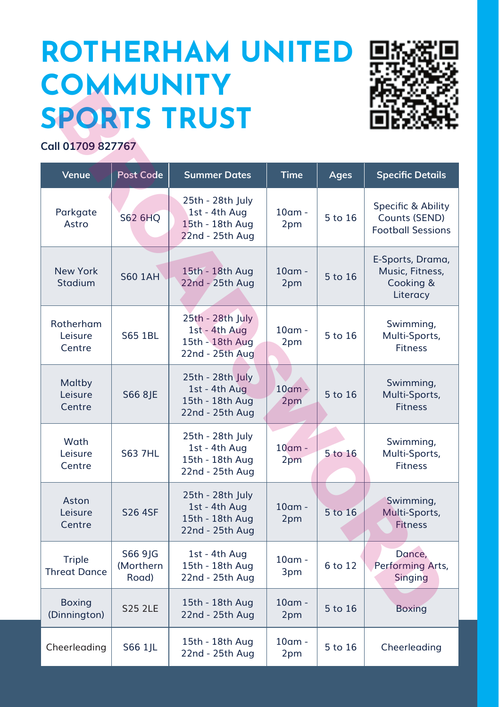# **ROTHERHAM UNITED COMMUNITY SPORTS TRUST**



| <b>SPORTS TRUST</b>                  |                                |                                                                         |                  |             |                                                                 |
|--------------------------------------|--------------------------------|-------------------------------------------------------------------------|------------------|-------------|-----------------------------------------------------------------|
| Call 01709 827767                    |                                |                                                                         |                  |             |                                                                 |
| Venue                                | <b>Post Code</b>               | <b>Summer Dates</b>                                                     | <b>Time</b>      | <b>Ages</b> | <b>Specific Details</b>                                         |
| Parkgate<br>Astro                    | S62 6HQ                        | 25th - 28th July<br>1st - 4th Aug<br>15th - 18th Aug<br>22nd - 25th Aug | $10$ am -<br>2pm | 5 to 16     | Specific & Ability<br>Counts (SEND)<br><b>Football Sessions</b> |
| <b>New York</b><br><b>Stadium</b>    | <b>S60 1AH</b>                 | 15th - 18th Aug<br>22nd - 25th Aug                                      | $10am$ -<br>2pm  | 5 to 16     | E-Sports, Drama,<br>Music, Fitness,<br>Cooking &<br>Literacy    |
| Rotherham<br>Leisure<br>Centre       | S65 1BL                        | 25th - 28th July<br>1st - 4th Aug<br>15th - 18th Aug<br>22nd - 25th Aug | $10$ am -<br>2pm | 5 to 16     | Swimming,<br>Multi-Sports,<br><b>Fitness</b>                    |
| Maltby<br>Leisure<br>Centre          | S66 8JE                        | 25th - 28th July<br>1st - 4th Aug<br>15th - 18th Aug<br>22nd - 25th Aug | $10$ am -<br>2pm | 5 to 16     | Swimming,<br>Multi-Sports,<br><b>Fitness</b>                    |
| Wath<br>Leisure<br>Centre            | <b>S63 7HL</b>                 | 25th - 28th July<br>1st - 4th Aug<br>15th - 18th Aug<br>22nd - 25th Aug | $10am$ -<br>2pm  | 5 to 16     | Swimming,<br>Multi-Sports,<br><b>Fitness</b>                    |
| Aston<br>Leisure<br>Centre           | <b>S26 4SF</b>                 | 25th - 28th July<br>1st - 4th Aug<br>15th - 18th Aug<br>22nd - 25th Aug | $10$ am -<br>2pm | 5 to 16     | Swimming,<br>Multi-Sports,<br><b>Fitness</b>                    |
| <b>Triple</b><br><b>Threat Dance</b> | S66 91G<br>(Morthern)<br>Road) | 1st - 4th Aug<br>15th - 18th Aug<br>22nd - 25th Aug                     | $10$ am -<br>3pm | 6 to 12     | Dance.<br>Performing Arts,<br>Singing                           |
| <b>Boxing</b><br>(Dinnington)        | <b>S25 2LE</b>                 | 15th - 18th Aug<br>22nd - 25th Aug                                      | $10$ am -<br>2pm | 5 to 16     | <b>Boxing</b>                                                   |
| Cheerleading                         | S66 1 IL                       | 15th - 18th Aug<br>22nd - 25th Aug                                      | $10am$ -<br>2pm  | 5 to 16     | Cheerleading                                                    |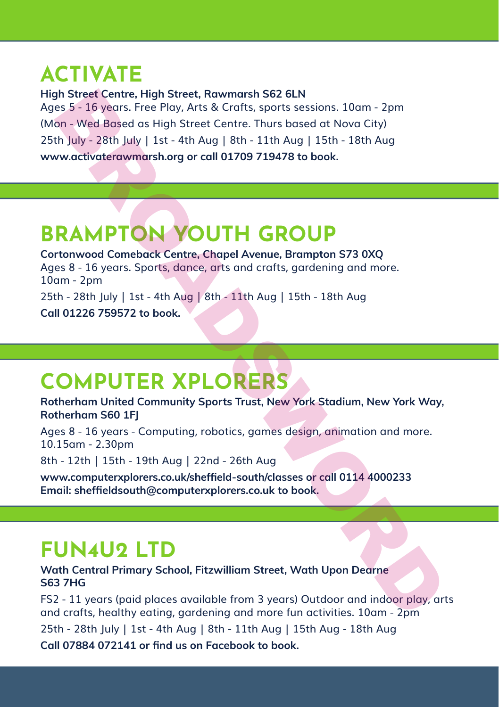# **ACTIVATE**

**High Street Centre, High Street, Rawmarsh S62 6LN**  Ages 5 - 16 years. Free Play, Arts & Crafts, sports sessions. 10am - 2pm (Mon - Wed Based as High Street Centre. Thurs based at Nova City) 25th July - 28th July | 1st - 4th Aug | 8th - 11th Aug | 15th - 18th Aug **www.activaterawmarsh.org or call 01709 719478 to book.** His Street Centre, High Street, Rawmarsh S62 6LN<br>
es 5 - 16 years. Free Play, Arts & Crafts, sports sessions. 10am - 2pm<br>
on - Wed Based as High Street Centre. Thurs based at Nova City)<br>
th July - 28th July | 1st - 4th Aug

### **BRAMPTON YOUTH GROUP**

**Cortonwood Comeback Centre, Chapel Avenue, Brampton S73 0XQ**  Ages 8 - 16 years. Sports, dance, arts and crafts, gardening and more. 10am - 2pm 25th - 28th July | 1st - 4th Aug | 8th - 11th Aug | 15th - 18th Aug **Call 01226 759572 to book.**

# **COMPUTER XPLORERS**

**Rotherham United Community Sports Trust, New York Stadium, New York Way, Rotherham S60 1FJ**

Ages 8 - 16 years - Computing, robotics, games design, animation and more. 10.15am - 2.30pm

8th - 12th | 15th - 19th Aug | 22nd - 26th Aug

**www.computerxplorers.co.uk/sheffield-south/classes or call 0114 4000233 Email: sheffieldsouth@computerxplorers.co.uk to book.**

### **FUN4U2 LTD**

**Wath Central Primary School, Fitzwilliam Street, Wath Upon Dearne S63 7HG**

FS2 - 11 years (paid places available from 3 years) Outdoor and indoor play, arts and crafts, healthy eating, gardening and more fun activities. 10am - 2pm

25th - 28th July | 1st - 4th Aug | 8th - 11th Aug | 15th Aug - 18th Aug **Call 07884 072141 or find us on Facebook to book.**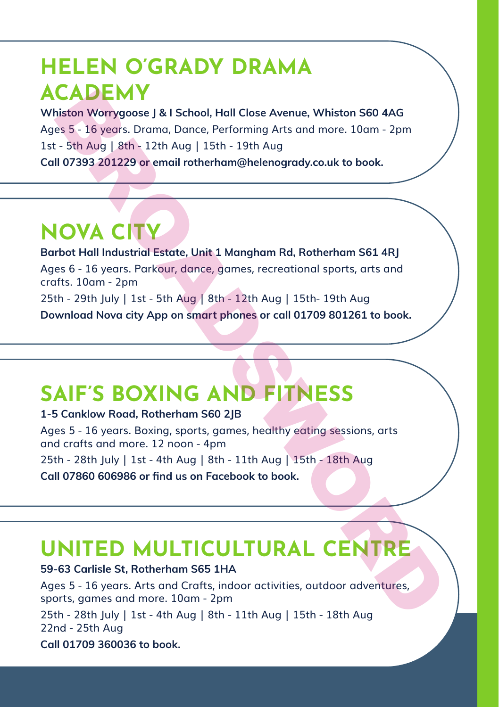# **HELEN O'GRADY DRAMA ACADEMY**

**Whiston Worrygoose J & I School, Hall Close Avenue, Whiston S60 4AG** Ages 5 - 16 years. Drama, Dance, Performing Arts and more. 10am - 2pm 1st - 5th Aug | 8th - 12th Aug | 15th - 19th Aug **Call 07393 201229 or email rotherham@helenogrady.co.uk to book.**

### **NOVA CITY**

**Barbot Hall Industrial Estate, Unit 1 Mangham Rd, Rotherham S61 4RJ**  Ages 6 - 16 years. Parkour, dance, games, recreational sports, arts and crafts. 10am - 2pm 25th - 29th July | 1st - 5th Aug | 8th - 12th Aug | 15th- 19th Aug **Download Nova city App on smart phones or call 01709 801261 to book. CADEMY**<br>
Sistem Worrygoose J & I School, Hall Close Avenue, Whiston 560 4AG<br>
ses 5 - 16 years. Drama, Dance, Performing Arts and more. 10am - 2pm<br>
1- 5th Aug | 8th - 12th Aug | 15th - 19th Aug<br>
II 07393 201229 or email ro

# **SAIF'S BOXING AND FITNESS**

#### **1-5 Canklow Road, Rotherham S60 2JB**

Ages 5 - 16 years. Boxing, sports, games, healthy eating sessions, arts and crafts and more. 12 noon - 4pm

25th - 28th July | 1st - 4th Aug | 8th - 11th Aug | 15th - 18th Aug **Call 07860 606986 or find us on Facebook to book.**

### **UNITED MULTICULTURAL CENTRE**

**59-63 Carlisle St, Rotherham S65 1HA** 

Ages 5 - 16 years. Arts and Crafts, indoor activities, outdoor adventures, sports, games and more. 10am - 2pm

25th - 28th July | 1st - 4th Aug | 8th - 11th Aug | 15th - 18th Aug 22nd - 25th Aug

**Call 01709 360036 to book.**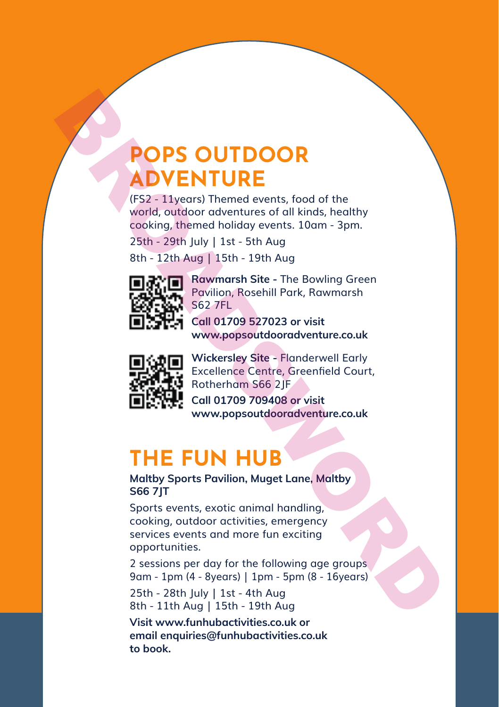### **POPS OUTDOOR ADVENTURE**

(FS2 - 11years) Themed events, food of the world, outdoor adventures of all kinds, healthy cooking, themed holiday events. 10am - 3pm.

25th - 29th July | 1st - 5th Aug

8th - 12th Aug | 15th - 19th Aug



**Rawmarsh Site -** The Bowling Green Pavilion, Rosehill Park, Rawmarsh S62 7FL

**Call 01709 527023 or visit www.popsoutdooradventure.co.uk**



**Wickersley Site -** Flanderwell Early Excellence Centre, Greenfield Court, Rotherham S66 2JF **Call 01709 709408 or visit** 

**www.popsoutdooradventure.co.uk**

### **THE FUN HUB**

**Maltby Sports Pavilion, Muget Lane, Maltby S66 7JT**

Sports events, exotic animal handling, cooking, outdoor activities, emergency services events and more fun exciting opportunities. **POPS OUTDOOR**<br> **ADVENTURE**<br>
(FS2 - 11years) Themed events, food of the world, outdoor ordentriers of all kinds, headthy cooking, thermed holiday events. 10am - 3pm.<br>
25th - 29th July | 1st - 5th Aug<br>
8th - 12th Aug | 15t

2 sessions per day for the following age groups 9am - 1pm (4 - 8years) | 1pm - 5pm (8 - 16years) 25th - 28th July | 1st - 4th Aug

8th - 11th Aug | 15th - 19th Aug

**Visit www.funhubactivities.co.uk or email enquiries@funhubactivities.co.uk to book.**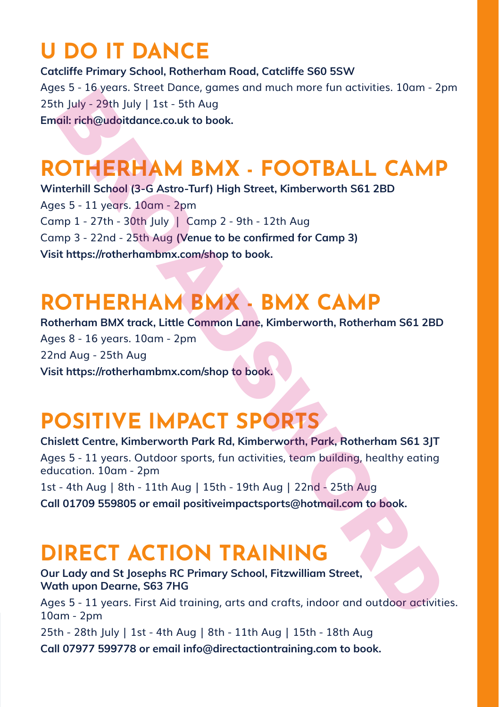# **U DO IT DANCE**

**Catcliffe Primary School, Rotherham Road, Catcliffe S60 5SW** Ages 5 - 16 years. Street Dance, games and much more fun activities. 10am - 2pm 25th July - 29th July | 1st - 5th Aug **Email: rich@udoitdance.co.uk to book.**

# **ROTHERHAM BMX - FOOTBALL CAMP**

**Winterhill School (3-G Astro-Turf) High Street, Kimberworth S61 2BD**  Ages 5 - 11 years. 10am - 2pm Camp 1 - 27th - 30th July | Camp 2 - 9th - 12th Aug Camp 3 - 22nd - 25th Aug **(Venue to be confirmed for Camp 3) Visit https://rotherhambmx.com/shop to book.**

# **ROTHERHAM BMX - BMX CAMP**

**Rotherham BMX track, Little Common Lane, Kimberworth, Rotherham S61 2BD** Ages 8 - 16 years. 10am - 2pm 22nd Aug - 25th Aug **Visit https://rotherhambmx.com/shop to book.**

### **POSITIVE IMPACT SPORTS**

**Chislett Centre, Kimberworth Park Rd, Kimberworth, Park, Rotherham S61 3JT** Ages 5 - 11 years. Outdoor sports, fun activities, team building, healthy eating education. 10am - 2pm 1st - 4th Aug | 8th - 11th Aug | 15th - 19th Aug | 22nd - 25th Aug **Call 01709 559805 or email positiveimpactsports@hotmail.com to book.** of the My-Jost State-Touring Falls and Microsofts (Fig. 22011)<br>
Broad State-Touring Control (Fig. 22011)<br>
Broad State-Touring High Street, Kimberworth S61 2BD<br>
Controllil School (3- 6 Astro-Turri) High Street, Kimberworth

# **DIRECT ACTION TRAINING**

**Our Lady and St Josephs RC Primary School, Fitzwilliam Street, Wath upon Dearne, S63 7HG**  Ages 5 - 11 years. First Aid training, arts and crafts, indoor and outdoor activities. 10am - 2pm 25th - 28th July | 1st - 4th Aug | 8th - 11th Aug | 15th - 18th Aug **Call 07977 599778 or email info@directactiontraining.com to book.**